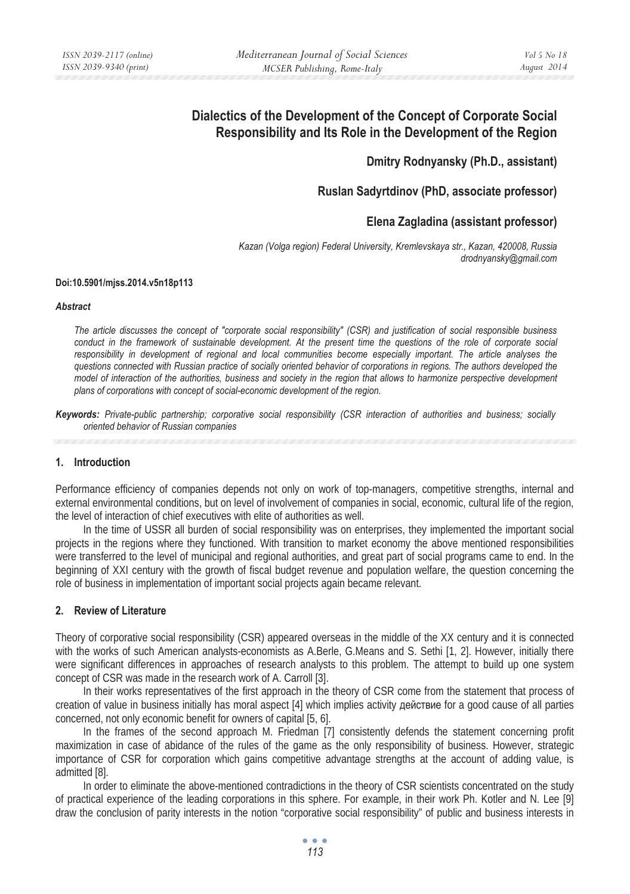# **Dialectics of the Development of the Concept of Corporate Social Responsibility and Its Role in the Development of the Region**

## **Dmitry Rodnyansky (Ph.D., assistant)**

**Ruslan Sadyrtdinov (PhD, associate professor)** 

## **Elena Zagladina (assistant professor)**

*Kazan (Volga region) Federal University, Kremlevskaya str., Kazan, 420008, Russia drodnyansky@gmail.com* 

#### **Doi:10.5901/mjss.2014.v5n18p113**

#### *Abstract*

*The article discusses the concept of "corporate social responsibility" (CSR) and justification of social responsible business conduct in the framework of sustainable development. At the present time the questions of the role of corporate social*  responsibility in development of regional and local communities become especially important. The article analyses the *questions connected with Russian practice of socially oriented behavior of corporations in regions. The authors developed the model of interaction of the authorities, business and society in the region that allows to harmonize perspective development plans of corporations with concept of social-economic development of the region.* 

*Keywords: Private-public partnership; corporative social responsibility (CSR interaction of authorities and business; socially oriented behavior of Russian companies* 

### **1. Introduction**

Performance efficiency of companies depends not only on work of top-managers, competitive strengths, internal and external environmental conditions, but on level of involvement of companies in social, economic, cultural life of the region, the level of interaction of chief executives with elite of authorities as well.

In the time of USSR all burden of social responsibility was on enterprises, they implemented the important social projects in the regions where they functioned. With transition to market economy the above mentioned responsibilities were transferred to the level of municipal and regional authorities, and great part of social programs came to end. In the beginning of XXI century with the growth of fiscal budget revenue and population welfare, the question concerning the role of business in implementation of important social projects again became relevant.

### **2. Review of Literature**

Theory of corporative social responsibility (CSR) appeared overseas in the middle of the XX century and it is connected with the works of such American analysts-economists as A.Berle, G.Means and S. Sethi [1, 2]. However, initially there were significant differences in approaches of research analysts to this problem. The attempt to build up one system concept of CSR was made in the research work of A. Carroll [3].

In their works representatives of the first approach in the theory of CSR come from the statement that process of creation of value in business initially has moral aspect [4] which implies activity действие for a good cause of all parties concerned, not only economic benefit for owners of capital [5, 6].

In the frames of the second approach M. Friedman [7] consistently defends the statement concerning profit maximization in case of abidance of the rules of the game as the only responsibility of business. However, strategic importance of CSR for corporation which gains competitive advantage strengths at the account of adding value, is admitted [8].

In order to eliminate the above-mentioned contradictions in the theory of CSR scientists concentrated on the study of practical experience of the leading corporations in this sphere. For example, in their work Ph. Kotler and N. Lee [9] draw the conclusion of parity interests in the notion "corporative social responsibility" of public and business interests in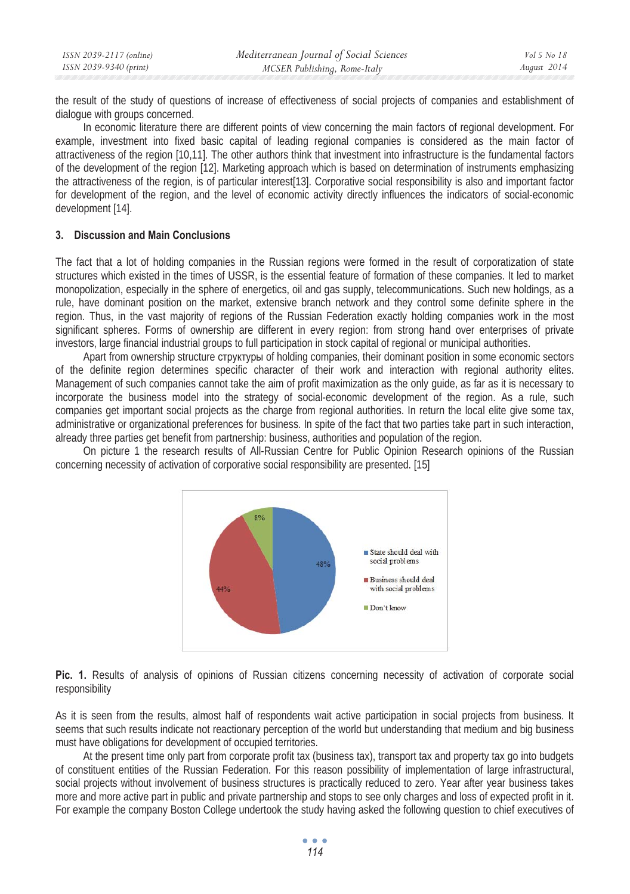| ISSN 2039-2117 (online) | Mediterranean Journal of Social Sciences | Vol 5 No 18 |
|-------------------------|------------------------------------------|-------------|
| ISSN 2039-9340 (print)  | MCSER Publishing, Rome-Italy             | August 2014 |

the result of the study of questions of increase of effectiveness of social projects of companies and establishment of dialogue with groups concerned.

In economic literature there are different points of view concerning the main factors of regional development. For example, investment into fixed basic capital of leading regional companies is considered as the main factor of attractiveness of the region [10,11]. The other authors think that investment into infrastructure is the fundamental factors of the development of the region [12]. Marketing approach which is based on determination of instruments emphasizing the attractiveness of the region, is of particular interest[13]. Corporative social responsibility is also and important factor for development of the region, and the level of economic activity directly influences the indicators of social-economic development [14].

#### **3. Discussion and Main Conclusions**

The fact that a lot of holding companies in the Russian regions were formed in the result of corporatization of state structures which existed in the times of USSR, is the essential feature of formation of these companies. It led to market monopolization, especially in the sphere of energetics, oil and gas supply, telecommunications. Such new holdings, as a rule, have dominant position on the market, extensive branch network and they control some definite sphere in the region. Thus, in the vast majority of regions of the Russian Federation exactly holding companies work in the most significant spheres. Forms of ownership are different in every region: from strong hand over enterprises of private investors, large financial industrial groups to full participation in stock capital of regional or municipal authorities.

Apart from ownership structure *crpykryph* of holding companies, their dominant position in some economic sectors of the definite region determines specific character of their work and interaction with regional authority elites. Management of such companies cannot take the aim of profit maximization as the only guide, as far as it is necessary to incorporate the business model into the strategy of social-economic development of the region. As a rule, such companies get important social projects as the charge from regional authorities. In return the local elite give some tax, administrative or organizational preferences for business. In spite of the fact that two parties take part in such interaction, already three parties get benefit from partnership: business, authorities and population of the region.

On picture 1 the research results of All-Russian Centre for Public Opinion Research opinions of the Russian concerning necessity of activation of corporative social responsibility are presented. [15]



**Pic. 1.** Results of analysis of opinions of Russian citizens concerning necessity of activation of corporate social responsibility

As it is seen from the results, almost half of respondents wait active participation in social projects from business. It seems that such results indicate not reactionary perception of the world but understanding that medium and big business must have obligations for development of occupied territories.

At the present time only part from corporate profit tax (business tax), transport tax and property tax go into budgets of constituent entities of the Russian Federation. For this reason possibility of implementation of large infrastructural, social projects without involvement of business structures is practically reduced to zero. Year after year business takes more and more active part in public and private partnership and stops to see only charges and loss of expected profit in it. For example the company Boston College undertook the study having asked the following question to chief executives of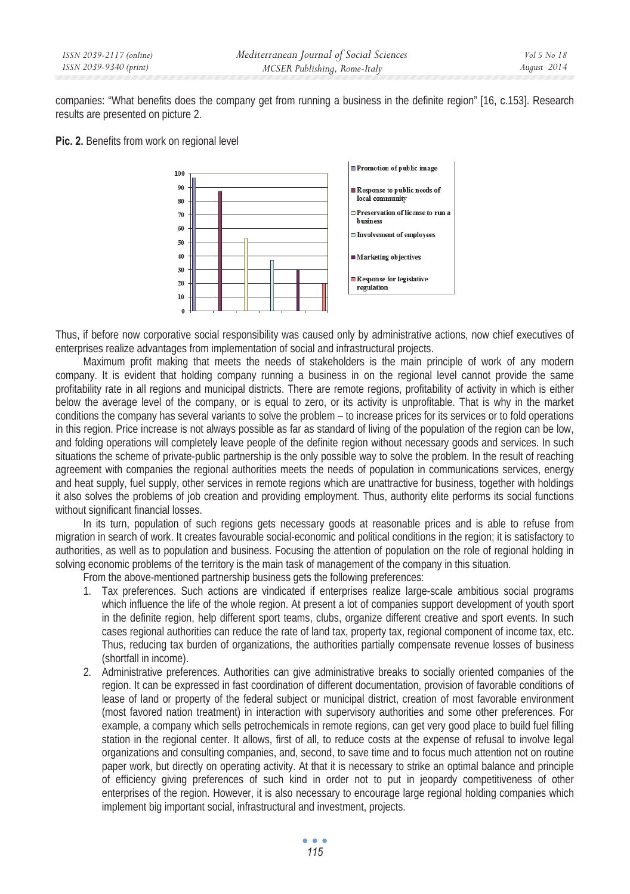companies: "What benefits does the company get from running a business in the definite region" [16, c.153]. Research results are presented on picture 2.

### Pic. 2. Benefits from work on regional level



Thus, if before now corporative social responsibility was caused only by administrative actions, now chief executives of enterprises realize advantages from implementation of social and infrastructural projects.

Maximum profit making that meets the needs of stakeholders is the main principle of work of any modern company. It is evident that holding company running a business in on the regional level cannot provide the same profitability rate in all regions and municipal districts. There are remote regions, profitability of activity in which is either below the average level of the company, or is equal to zero, or its activity is unprofitable. That is why in the market conditions the company has several variants to solve the problem – to increase prices for its services or to fold operations in this region. Price increase is not always possible as far as standard of living of the population of the region can be low, and folding operations will completely leave people of the definite region without necessary goods and services. In such situations the scheme of private-public partnership is the only possible way to solve the problem. In the result of reaching agreement with companies the regional authorities meets the needs of population in communications services, energy and heat supply, fuel supply, other services in remote regions which are unattractive for business, together with holdings it also solves the problems of job creation and providing employment. Thus, authority elite performs its social functions without significant financial losses.

In its turn, population of such regions gets necessary goods at reasonable prices and is able to refuse from migration in search of work. It creates favourable social-economic and political conditions in the region; it is satisfactory to authorities, as well as to population and business. Focusing the attention of population on the role of regional holding in solving economic problems of the territory is the main task of management of the company in this situation.

From the above-mentioned partnership business gets the following preferences:

- 1. Tax preferences. Such actions are vindicated if enterprises realize large-scale ambitious social programs which influence the life of the whole region. At present a lot of companies support development of youth sport in the definite region, help different sport teams, clubs, organize different creative and sport events. In such cases regional authorities can reduce the rate of land tax, property tax, regional component of income tax, etc. Thus, reducing tax burden of organizations, the authorities partially compensate revenue losses of business (shortfall in income).
- 2. Administrative preferences. Authorities can give administrative breaks to socially oriented companies of the region. It can be expressed in fast coordination of different documentation, provision of favorable conditions of lease of land or property of the federal subject or municipal district, creation of most favorable environment (most favored nation treatment) in interaction with supervisory authorities and some other preferences. For example, a company which sells petrochemicals in remote regions, can get very good place to build fuel filling station in the regional center. It allows, first of all, to reduce costs at the expense of refusal to involve legal organizations and consulting companies, and, second, to save time and to focus much attention not on routine paper work, but directly on operating activity. At that it is necessary to strike an optimal balance and principle of efficiency giving preferences of such kind in order not to put in jeopardy competitiveness of other enterprises of the region. However, it is also necessary to encourage large regional holding companies which implement big important social, infrastructural and investment, projects.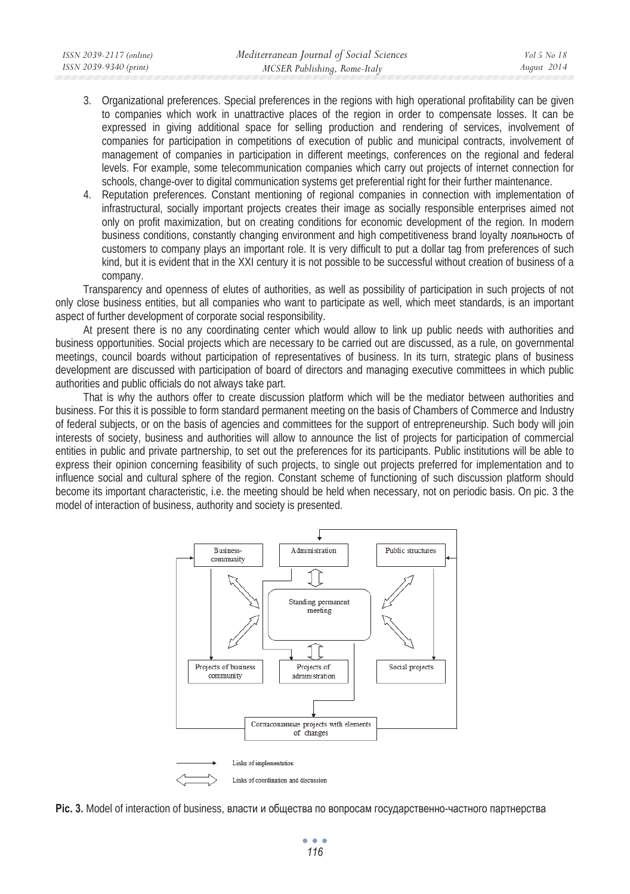- 3. Organizational preferences. Special preferences in the regions with high operational profitability can be given to companies which work in unattractive places of the region in order to compensate losses. It can be expressed in giving additional space for selling production and rendering of services, involvement of companies for participation in competitions of execution of public and municipal contracts, involvement of management of companies in participation in different meetings, conferences on the regional and federal levels. For example, some telecommunication companies which carry out projects of internet connection for schools, change-over to digital communication systems get preferential right for their further maintenance.
- 4. Reputation preferences. Constant mentioning of regional companies in connection with implementation of infrastructural, socially important projects creates their image as socially responsible enterprises aimed not only on profit maximization, but on creating conditions for economic development of the region. In modern business conditions, constantly changing environment and high competitiveness brand loyalty лояльность of customers to company plays an important role. It is very difficult to put a dollar tag from preferences of such kind, but it is evident that in the XXI century it is not possible to be successful without creation of business of a company.

Transparency and openness of elutes of authorities, as well as possibility of participation in such projects of not only close business entities, but all companies who want to participate as well, which meet standards, is an important aspect of further development of corporate social responsibility.

At present there is no any coordinating center which would allow to link up public needs with authorities and business opportunities. Social projects which are necessary to be carried out are discussed, as a rule, on governmental meetings, council boards without participation of representatives of business. In its turn, strategic plans of business development are discussed with participation of board of directors and managing executive committees in which public authorities and public officials do not always take part.

That is why the authors offer to create discussion platform which will be the mediator between authorities and business. For this it is possible to form standard permanent meeting on the basis of Chambers of Commerce and Industry of federal subjects, or on the basis of agencies and committees for the support of entrepreneurship. Such body will join interests of society, business and authorities will allow to announce the list of projects for participation of commercial entities in public and private partnership, to set out the preferences for its participants. Public institutions will be able to express their opinion concerning feasibility of such projects, to single out projects preferred for implementation and to influence social and cultural sphere of the region. Constant scheme of functioning of such discussion platform should become its important characteristic, i.e. the meeting should be held when necessary, not on periodic basis. On pic. 3 the model of interaction of business, authority and society is presented.



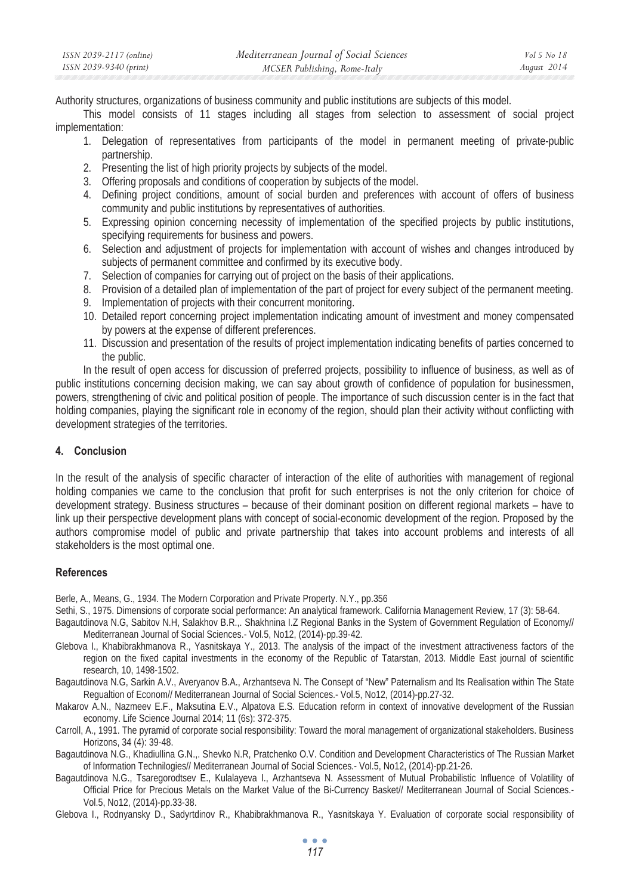| ISSN 2039-2117 (online) | Mediterranean Journal of Social Sciences | Vol 5 No 18 |
|-------------------------|------------------------------------------|-------------|
| ISSN 2039-9340 (print)  | MCSER Publishing, Rome-Italy             | August 2014 |

Authority structures, organizations of business community and public institutions are subjects of this model.

This model consists of 11 stages including all stages from selection to assessment of social project implementation:

- 1. Delegation of representatives from participants of the model in permanent meeting of private-public partnership.
- 2. Presenting the list of high priority projects by subjects of the model.
- 3. Offering proposals and conditions of cooperation by subjects of the model.
- 4. Defining project conditions, amount of social burden and preferences with account of offers of business community and public institutions by representatives of authorities.
- 5. Expressing opinion concerning necessity of implementation of the specified projects by public institutions, specifying requirements for business and powers.
- 6. Selection and adjustment of projects for implementation with account of wishes and changes introduced by subjects of permanent committee and confirmed by its executive body.
- 7. Selection of companies for carrying out of project on the basis of their applications.
- 8. Provision of a detailed plan of implementation of the part of project for every subject of the permanent meeting.
- 9. Implementation of projects with their concurrent monitoring.
- 10. Detailed report concerning project implementation indicating amount of investment and money compensated by powers at the expense of different preferences.
- 11. Discussion and presentation of the results of project implementation indicating benefits of parties concerned to the public.

In the result of open access for discussion of preferred projects, possibility to influence of business, as well as of public institutions concerning decision making, we can say about growth of confidence of population for businessmen, powers, strengthening of civic and political position of people. The importance of such discussion center is in the fact that holding companies, playing the significant role in economy of the region, should plan their activity without conflicting with development strategies of the territories.

### **4. Conclusion**

In the result of the analysis of specific character of interaction of the elite of authorities with management of regional holding companies we came to the conclusion that profit for such enterprises is not the only criterion for choice of development strategy. Business structures – because of their dominant position on different regional markets – have to link up their perspective development plans with concept of social-economic development of the region. Proposed by the authors compromise model of public and private partnership that takes into account problems and interests of all stakeholders is the most optimal one.

### **References**

Berle, A., Means, G., 1934. The Modern Corporation and Private Property. N.Y., pp.356

- Sethi, S., 1975. Dimensions of corporate social performance: An analytical framework. California Management Review, 17 (3): 58-64.
- Bagautdinova N.G, Sabitov N.H, Salakhov B.R.,. Shakhnina I.Z Regional Banks in the System of Government Regulation of Economy// Mediterranean Journal of Social Sciences.- Vol.5, No12, (2014)-pp.39-42.
- Glebova I., Khabibrakhmanova R., Yasnitskaya Y., 2013. The analysis of the impact of the investment attractiveness factors of the region on the fixed capital investments in the economy of the Republic of Tatarstan, 2013. Middle East journal of scientific research, 10, 1498-1502.
- Bagautdinova N.G, Sarkin A.V., Averyanov B.A., Arzhantseva N. The Consept of "New" Paternalism and Its Realisation within The State Regualtion of Econom// Mediterranean Journal of Social Sciences.- Vol.5, No12, (2014)-pp.27-32.
- Makarov A.N., Nazmeev E.F., Maksutina E.V., Alpatova E.S. Education reform in context of innovative development of the Russian economy. Life Science Journal 2014; 11 (6s): 372-375.
- Carroll, A., 1991. The pyramid of corporate social responsibility: Toward the moral management of organizational stakeholders. Business Horizons, 34 (4): 39-48.
- Bagautdinova N.G., Khadiullina G.N.,. Shevko N.R, Pratchenko O.V. Condition and Development Characteristics of The Russian Market of Information Technilogies// Mediterranean Journal of Social Sciences.- Vol.5, No12, (2014)-pp.21-26.
- Bagautdinova N.G., Tsaregorodtsev E., Kulalayeva I., Arzhantseva N. Assessment of Mutual Probabilistic Influence of Volatility of Official Price for Precious Metals on the Market Value of the Bi-Currency Basket// Mediterranean Journal of Social Sciences.- Vol.5, No12, (2014)-pp.33-38.
- Glebova I., Rodnyansky D., Sadyrtdinov R., Khabibrakhmanova R., Yasnitskaya Y. Evaluation of corporate social responsibility of